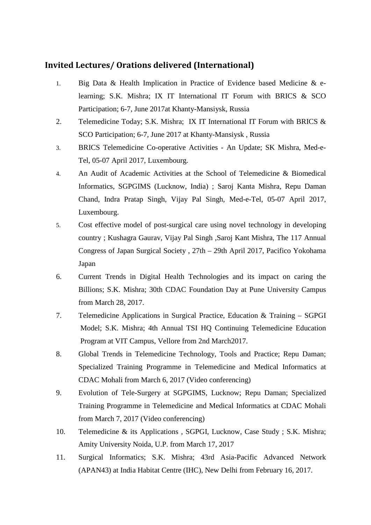## **Invited Lectures/ Orations delivered (International)**

- 1. Big Data & Health Implication in Practice of Evidence based Medicine & elearning; S.K. Mishra; IX IT International IT Forum with BRICS & SCO Participation; 6-7, June 2017at Khanty-Mansiysk, Russia
- 2. Telemedicine Today; S.K. Mishra; IX IT International IT Forum with BRICS & SCO Participation; 6-7, June 2017 at Khanty-Mansiysk , Russia
- 3. BRICS Telemedicine Co-operative Activities An Update; SK Mishra, Med-e-Tel, 05-07 April 2017, Luxembourg.
- 4. An Audit of Academic Activities at the School of Telemedicine & Biomedical Informatics, SGPGIMS (Lucknow, India) ; Saroj Kanta Mishra, Repu Daman Chand, Indra Pratap Singh, Vijay Pal Singh, Med-e-Tel, 05-07 April 2017, Luxembourg.
- 5. Cost effective model of post-surgical care using novel technology in developing country ; Kushagra Gaurav, Vijay Pal Singh ,Saroj Kant Mishra, The 117 Annual Congress of Japan Surgical Society , 27th – 29th April 2017, Pacifico Yokohama Japan
- 6. Current Trends in Digital Health Technologies and its impact on caring the Billions; S.K. Mishra; 30th CDAC Foundation Day at Pune University Campus from March 28, 2017.
- 7. Telemedicine Applications in Surgical Practice, Education & Training SGPGI Model; S.K. Mishra; 4th Annual TSI HQ Continuing Telemedicine Education Program at VIT Campus, Vellore from 2nd March2017.
- 8. Global Trends in Telemedicine Technology, Tools and Practice; Repu Daman; Specialized Training Programme in Telemedicine and Medical Informatics at CDAC Mohali from March 6, 2017 (Video conferencing)
- 9. Evolution of Tele-Surgery at SGPGIMS, Lucknow; Repu Daman; Specialized Training Programme in Telemedicine and Medical Informatics at CDAC Mohali from March 7, 2017 (Video conferencing)
- 10. Telemedicine & its Applications , SGPGI, Lucknow, Case Study ; S.K. Mishra; Amity University Noida, U.P. from March 17, 2017
- 11. Surgical Informatics; S.K. Mishra; 43rd Asia-Pacific Advanced Network (APAN43) at India Habitat Centre (IHC), New Delhi from February 16, 2017.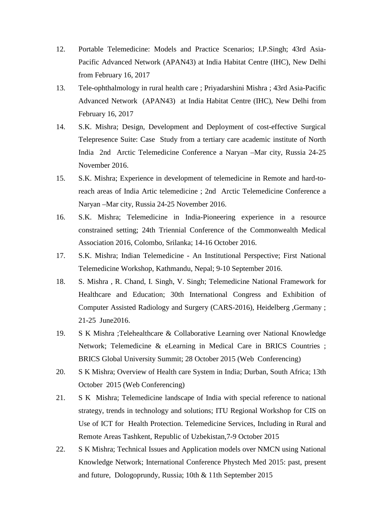- 12. Portable Telemedicine: Models and Practice Scenarios; I.P.Singh; 43rd Asia-Pacific Advanced Network (APAN43) at India Habitat Centre (IHC), New Delhi from February 16, 2017
- 13. Tele-ophthalmology in rural health care ; Priyadarshini Mishra ; 43rd Asia-Pacific Advanced Network (APAN43) at India Habitat Centre (IHC), New Delhi from February 16, 2017
- 14. S.K. Mishra; Design, Development and Deployment of cost-effective Surgical Telepresence Suite: Case Study from a tertiary care academic institute of North India 2nd Arctic Telemedicine Conference a Naryan –Mar city, Russia 24-25 November 2016.
- 15. S.K. Mishra; Experience in development of telemedicine in Remote and hard-toreach areas of India Artic telemedicine ; 2nd Arctic Telemedicine Conference a Naryan –Mar city, Russia 24-25 November 2016.
- 16. S.K. Mishra; Telemedicine in India-Pioneering experience in a resource constrained setting; 24th Triennial Conference of the Commonwealth Medical Association 2016, Colombo, Srilanka; 14-16 October 2016.
- 17. S.K. Mishra; Indian Telemedicine An Institutional Perspective; First National Telemedicine Workshop, Kathmandu, Nepal; 9-10 September 2016.
- 18. S. Mishra , R. Chand, I. Singh, V. Singh; Telemedicine National Framework for Healthcare and Education; 30th International Congress and Exhibition of Computer Assisted Radiology and Surgery (CARS-2016), Heidelberg ,Germany ; 21-25 June2016.
- 19. S K Mishra ;Telehealthcare & Collaborative Learning over National Knowledge Network; Telemedicine & eLearning in Medical Care in BRICS Countries ; BRICS Global University Summit; 28 October 2015 (Web Conferencing)
- 20. S K Mishra; Overview of Health care System in India; Durban, South Africa; 13th October 2015 (Web Conferencing)
- 21. S K Mishra; Telemedicine landscape of India with special reference to national strategy, trends in technology and solutions; ITU Regional Workshop for CIS on Use of ICT for Health Protection. Telemedicine Services, Including in Rural and Remote Areas Tashkent, Republic of Uzbekistan,7-9 October 2015
- 22. S K Mishra; Technical Issues and Application models over NMCN using National Knowledge Network; International Conference Phystech Med 2015: past, present and future, Dologoprundy, Russia; 10th & 11th September 2015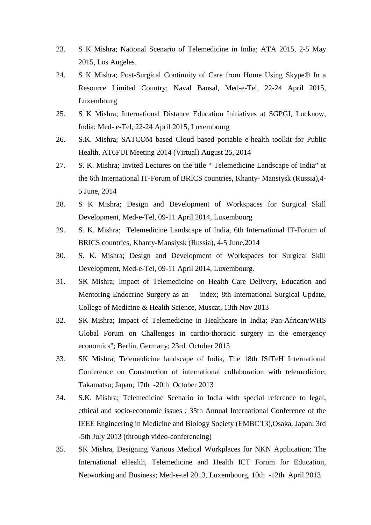- 23. S K Mishra; National Scenario of Telemedicine in India; ATA 2015, 2-5 May 2015, Los Angeles.
- 24. S K Mishra; Post-Surgical Continuity of Care from Home Using Skype® In a Resource Limited Country; Naval Bansal, Med-e-Tel, 22-24 April 2015, Luxembourg
- 25. S K Mishra; International Distance Education Initiatives at SGPGI, Lucknow, India; Med- e-Tel, 22-24 April 2015, Luxembourg
- 26. S.K. Mishra; SATCOM based Cloud based portable e-health toolkit for Public Health, AT6FUI Meeting 2014 (Virtual) August 25, 2014
- 27. S. K. Mishra; Invited Lectures on the title " Telemedicine Landscape of India" at the 6th International IT-Forum of BRICS countries, Khanty- Mansiysk (Russia),4- 5 June, 2014
- 28. S K Mishra; Design and Development of Workspaces for Surgical Skill Development, Med-e-Tel, 09-11 April 2014, Luxembourg
- 29. S. K. Mishra; Telemedicine Landscape of India, 6th International IT-Forum of BRICS countries, Khanty-Mansiysk (Russia), 4-5 June,2014
- 30. S. K. Mishra; Design and Development of Workspaces for Surgical Skill Development, Med-e-Tel, 09-11 April 2014, Luxembourg.
- 31. SK Mishra; Impact of Telemedicine on Health Care Delivery, Education and Mentoring Endocrine Surgery as an index; 8th International Surgical Update, College of Medicine & Health Science, Muscat, 13th Nov 2013
- 32. SK Mishra; Impact of Telemedicine in Healthcare in India; Pan-African/WHS Global Forum on Challenges in cardio-thoracic surgery in the emergency economics"; Berlin, Germany; 23rd October 2013
- 33. SK Mishra; Telemedicine landscape of India, The 18th ISfTeH International Conference on Construction of international collaboration with telemedicine; Takamatsu; Japan; 17th -20th October 2013
- 34. S.K. Mishra; Telemedicine Scenario in India with special reference to legal, ethical and socio-economic issues ; 35th Annual International Conference of the IEEE Engineering in Medicine and Biology Society (EMBC'13),Osaka, Japan; 3rd -5th July 2013 (through video-conferencing)
- 35. SK Mishra, Designing Various Medical Workplaces for NKN Application; The International eHealth, Telemedicine and Health ICT Forum for Education, Networking and Business; Med-e-tel 2013, Luxembourg, 10th -12th April 2013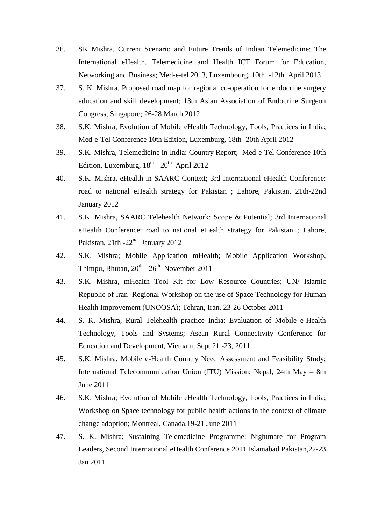- 36. SK Mishra, Current Scenario and Future Trends of Indian Telemedicine; The International eHealth, Telemedicine and Health ICT Forum for Education, Networking and Business; Med-e-tel 2013, Luxembourg, 10th -12th April 2013
- 37. S. K. Mishra, Proposed road map for regional co-operation for endocrine surgery education and skill development; 13th Asian Association of Endocrine Surgeon Congress, Singapore; 26-28 March 2012
- 38. S.K. Mishra, Evolution of Mobile eHealth Technology, Tools, Practices in India; Med-e-Tel Conference 10th Edition, Luxemburg, 18th -20th April 2012
- 39. S.K. Mishra, Telemedicine in India: Country Report; Med-e-Tel Conference 10th Edition, Luxemburg,  $18<sup>th</sup> -20<sup>th</sup>$  April 2012
- 40. S.K. Mishra, eHealth in SAARC Context; 3rd International eHealth Conference: road to national eHealth strategy for Pakistan ; Lahore, Pakistan, 21th-22nd January 2012
- 41. S.K. Mishra, SAARC Telehealth Network: Scope & Potential; 3rd International eHealth Conference: road to national eHealth strategy for Pakistan ; Lahore, Pakistan,  $21th - 22<sup>nd</sup>$  January 2012
- 42. S.K. Mishra; Mobile Application mHealth; Mobile Application Workshop, Thimpu, Bhutan,  $20^{th}$  -26<sup>th</sup> November 2011
- 43. S.K. Mishra, mHealth Tool Kit for Low Resource Countries; UN/ Islamic Republic of Iran Regional Workshop on the use of Space Technology for Human Health Improvement (UNOOSA); Tehran, Iran, 23-26 October 2011
- 44. S. K. Mishra, Rural Telehealth practice India: Evaluation of Mobile e-Health Technology, Tools and Systems; Asean Rural Connectivity Conference for Education and Development, Vietnam; Sept 21 -23, 2011
- 45. S.K. Mishra, Mobile e-Health Country Need Assessment and Feasibility Study; International Telecommunication Union (ITU) Mission; Nepal, 24th May – 8th June 2011
- 46. S.K. Mishra; Evolution of Mobile eHealth Technology, Tools, Practices in India; Workshop on Space technology for public health actions in the context of climate change adoption; Montreal, Canada,19-21 June 2011
- 47. S. K. Mishra; Sustaining Telemedicine Programme: Nightmare for Program Leaders, Second International eHealth Conference 2011 Islamabad Pakistan,22-23 Jan 2011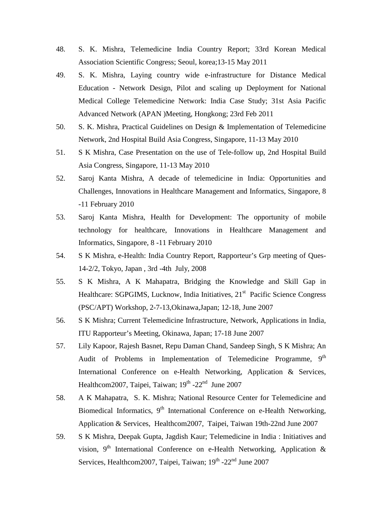- 48. S. K. Mishra, Telemedicine India Country Report; 33rd Korean Medical Association Scientific Congress; Seoul, korea;13-15 May 2011
- 49. S. K. Mishra, Laying country wide e-infrastructure for Distance Medical Education - Network Design, Pilot and scaling up Deployment for National Medical College Telemedicine Network: India Case Study; 31st Asia Pacific Advanced Network (APAN )Meeting, Hongkong; 23rd Feb 2011
- 50. S. K. Mishra, Practical Guidelines on Design & Implementation of Telemedicine Network, 2nd Hospital Build Asia Congress, Singapore, 11-13 May 2010
- 51. S K Mishra, Case Presentation on the use of Tele-follow up, 2nd Hospital Build Asia Congress, Singapore, 11-13 May 2010
- 52. Saroj Kanta Mishra, A decade of telemedicine in India: Opportunities and Challenges, Innovations in Healthcare Management and Informatics, Singapore, 8 -11 February 2010
- 53. Saroj Kanta Mishra, Health for Development: The opportunity of mobile technology for healthcare, Innovations in Healthcare Management and Informatics, Singapore, 8 -11 February 2010
- 54. S K Mishra, e-Health: India Country Report, Rapporteur's Grp meeting of Ques-14-2/2, Tokyo, Japan , 3rd -4th July, 2008
- 55. S K Mishra, A K Mahapatra, Bridging the Knowledge and Skill Gap in Healthcare: SGPGIMS, Lucknow, India Initiatives, 21<sup>st</sup> Pacific Science Congress (PSC/APT) Workshop, 2-7-13,Okinawa,Japan; 12-18, June 2007
- 56. S K Mishra; Current Telemedicine Infrastructure, Network, Applications in India, ITU Rapporteur's Meeting, Okinawa, Japan; 17-18 June 2007
- 57. Lily Kapoor, Rajesh Basnet, Repu Daman Chand, Sandeep Singh, S K Mishra; An Audit of Problems in Implementation of Telemedicine Programme, 9<sup>th</sup> International Conference on e-Health Networking, Application & Services, Healthcom2007, Taipei, Taiwan; 19<sup>th</sup> -22<sup>nd</sup> June 2007
- 58. A K Mahapatra, S. K. Mishra; National Resource Center for Telemedicine and Biomedical Informatics,  $9<sup>th</sup>$  International Conference on e-Health Networking, Application & Services, Healthcom2007, Taipei, Taiwan 19th-22nd June 2007
- 59. S K Mishra, Deepak Gupta, Jagdish Kaur; Telemedicine in India : Initiatives and vision, 9<sup>th</sup> International Conference on e-Health Networking, Application & Services, Healthcom2007, Taipei, Taiwan; 19<sup>th</sup> -22<sup>nd</sup> June 2007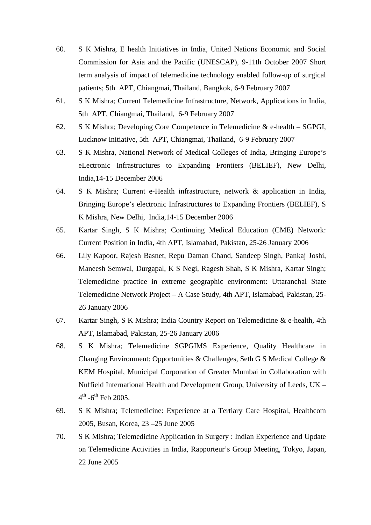- 60. S K Mishra, E health Initiatives in India, United Nations Economic and Social Commission for Asia and the Pacific (UNESCAP), 9-11th October 2007 Short term analysis of impact of telemedicine technology enabled follow-up of surgical patients; 5th APT, Chiangmai, Thailand, Bangkok, 6-9 February 2007
- 61. S K Mishra; Current Telemedicine Infrastructure, Network, Applications in India, 5th APT, Chiangmai, Thailand, 6-9 February 2007
- 62. S K Mishra; Developing Core Competence in Telemedicine & e-health SGPGI, Lucknow Initiative, 5th APT, Chiangmai, Thailand, 6-9 February 2007
- 63. S K Mishra, National Network of Medical Colleges of India, Bringing Europe's eLectronic Infrastructures to Expanding Frontiers (BELIEF), New Delhi, India,14-15 December 2006
- 64. S K Mishra; Current e-Health infrastructure, network & application in India, Bringing Europe's electronic Infrastructures to Expanding Frontiers (BELIEF), S K Mishra, New Delhi, India,14-15 December 2006
- 65. Kartar Singh, S K Mishra; Continuing Medical Education (CME) Network: Current Position in India, 4th APT, Islamabad, Pakistan, 25-26 January 2006
- 66. Lily Kapoor, Rajesh Basnet, Repu Daman Chand, Sandeep Singh, Pankaj Joshi, Maneesh Semwal, Durgapal, K S Negi, Ragesh Shah, S K Mishra, Kartar Singh; Telemedicine practice in extreme geographic environment: Uttaranchal State Telemedicine Network Project – A Case Study, 4th APT, Islamabad, Pakistan, 25- 26 January 2006
- 67. Kartar Singh, S K Mishra; India Country Report on Telemedicine & e-health, 4th APT, Islamabad, Pakistan, 25-26 January 2006
- 68. S K Mishra; Telemedicine SGPGIMS Experience, Quality Healthcare in Changing Environment: Opportunities & Challenges, Seth G S Medical College & KEM Hospital, Municipal Corporation of Greater Mumbai in Collaboration with Nuffield International Health and Development Group, University of Leeds, UK –  $4^{th}$  -6<sup>th</sup> Feb 2005.
- 69. S K Mishra; Telemedicine: Experience at a Tertiary Care Hospital, Healthcom 2005, Busan, Korea, 23 –25 June 2005
- 70. S K Mishra; Telemedicine Application in Surgery : Indian Experience and Update on Telemedicine Activities in India, Rapporteur's Group Meeting, Tokyo, Japan, 22 June 2005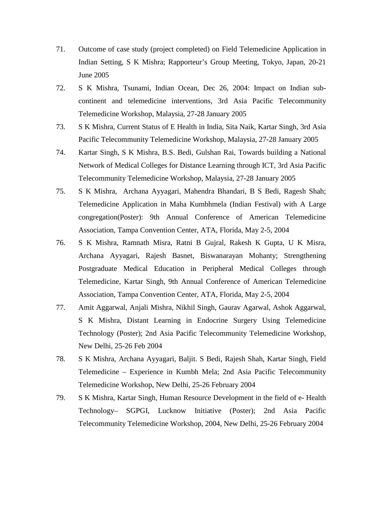- 71. Outcome of case study (project completed) on Field Telemedicine Application in Indian Setting, S K Mishra; Rapporteur's Group Meeting, Tokyo, Japan, 20-21 June 2005
- 72. S K Mishra, Tsunami, Indian Ocean, Dec 26, 2004: Impact on Indian subcontinent and telemedicine interventions, 3rd Asia Pacific Telecommunity Telemedicine Workshop, Malaysia, 27-28 January 2005
- 73. S K Mishra, Current Status of E Health in India, Sita Naik, Kartar Singh, 3rd Asia Pacific Telecommunity Telemedicine Workshop, Malaysia, 27-28 January 2005
- 74. Kartar Singh, S K Mishra, B.S. Bedi, Gulshan Rai, Towards building a National Network of Medical Colleges for Distance Learning through ICT, 3rd Asia Pacific Telecommunity Telemedicine Workshop, Malaysia, 27-28 January 2005
- 75. S K Mishra, Archana Ayyagari, Mahendra Bhandari, B S Bedi, Ragesh Shah; Telemedicine Application in Maha Kumbhmela (Indian Festival) with A Large congregation(Poster): 9th Annual Conference of American Telemedicine Association, Tampa Convention Center, ATA, Florida, May 2-5, 2004
- 76. S K Mishra, Ramnath Misra, Ratni B Gujral, Rakesh K Gupta, U K Misra, Archana Ayyagari, Rajesh Basnet, Biswanarayan Mohanty; Strengthening Postgraduate Medical Education in Peripheral Medical Colleges through Telemedicine, Kartar Singh, 9th Annual Conference of American Telemedicine Association, Tampa Convention Center, ATA, Florida, May 2-5, 2004
- 77. Amit Aggarwal, Anjali Mishra, Nikhil Singh, Gaurav Agarwal, Ashok Aggarwal, S K Mishra, Distant Learning in Endocrine Surgery Using Telemedicine Technology (Poster); 2nd Asia Pacific Telecommunity Telemedicine Workshop, New Delhi, 25-26 Feb 2004
- 78. S K Mishra, Archana Ayyagari, Baljit. S Bedi, Rajesh Shah, Kartar Singh, Field Telemedicine – Experience in Kumbh Mela; 2nd Asia Pacific Telecommunity Telemedicine Workshop, New Delhi, 25-26 February 2004
- 79. S K Mishra, Kartar Singh, Human Resource Development in the field of e- Health Technology– SGPGI, Lucknow Initiative (Poster); 2nd Asia Pacific Telecommunity Telemedicine Workshop, 2004, New Delhi, 25-26 February 2004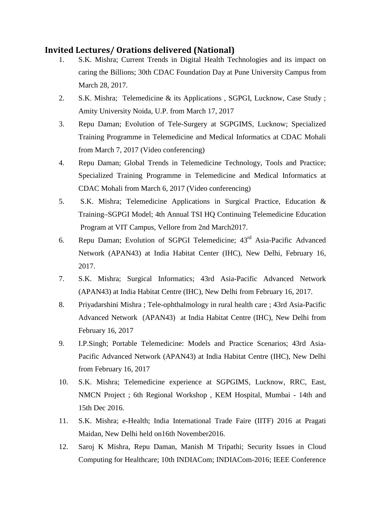## **Invited Lectures/ Orations delivered (National)**

- 1. S.K. Mishra; Current Trends in Digital Health Technologies and its impact on caring the Billions; 30th CDAC Foundation Day at Pune University Campus from March 28, 2017.
- 2. S.K. Mishra; Telemedicine & its Applications , SGPGI, Lucknow, Case Study ; Amity University Noida, U.P. from March 17, 2017
- 3. Repu Daman; Evolution of Tele-Surgery at SGPGIMS, Lucknow; Specialized Training Programme in Telemedicine and Medical Informatics at CDAC Mohali from March 7, 2017 (Video conferencing)
- 4. Repu Daman; Global Trends in Telemedicine Technology, Tools and Practice; Specialized Training Programme in Telemedicine and Medical Informatics at CDAC Mohali from March 6, 2017 (Video conferencing)
- 5. S.K. Mishra; Telemedicine Applications in Surgical Practice, Education & Training–SGPGI Model; 4th Annual TSI HQ Continuing Telemedicine Education Program at VIT Campus, Vellore from 2nd March2017.
- 6. Repu Daman; Evolution of SGPGI Telemedicine; 43rd Asia-Pacific Advanced Network (APAN43) at India Habitat Center (IHC), New Delhi, February 16, 2017.
- 7. S.K. Mishra; Surgical Informatics; 43rd Asia-Pacific Advanced Network (APAN43) at India Habitat Centre (IHC), New Delhi from February 16, 2017.
- 8. Priyadarshini Mishra ; Tele-ophthalmology in rural health care ; 43rd Asia-Pacific Advanced Network (APAN43) at India Habitat Centre (IHC), New Delhi from February 16, 2017
- 9. I.P.Singh; Portable Telemedicine: Models and Practice Scenarios; 43rd Asia-Pacific Advanced Network (APAN43) at India Habitat Centre (IHC), New Delhi from February 16, 2017
- 10. S.K. Mishra; Telemedicine experience at SGPGIMS, Lucknow, RRC, East, NMCN Project ; 6th Regional Workshop , KEM Hospital, Mumbai - 14th and 15th Dec 2016.
- 11. S.K. Mishra; e-Health; India International Trade Faire (IITF) 2016 at Pragati Maidan, New Delhi held on16th November2016.
- 12. Saroj K Mishra, Repu Daman, Manish M Tripathi; Security Issues in Cloud Computing for Healthcare; 10th INDIACom; INDIACom-2016; IEEE Conference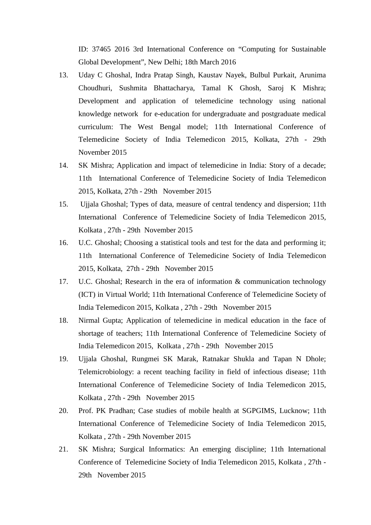ID: 37465 2016 3rd International Conference on "Computing for Sustainable Global Development", New Delhi; 18th March 2016

- 13. Uday C Ghoshal, Indra Pratap Singh, Kaustav Nayek, Bulbul Purkait, Arunima Choudhuri, Sushmita Bhattacharya, Tamal K Ghosh, Saroj K Mishra; Development and application of telemedicine technology using national knowledge network for e-education for undergraduate and postgraduate medical curriculum: The West Bengal model; 11th International Conference of Telemedicine Society of India Telemedicon 2015, Kolkata, 27th - 29th November 2015
- 14. SK Mishra; Application and impact of telemedicine in India: Story of a decade; 11th International Conference of Telemedicine Society of India Telemedicon 2015, Kolkata, 27th - 29th November 2015
- 15. Ujjala Ghoshal; Types of data, measure of central tendency and dispersion; 11th International Conference of Telemedicine Society of India Telemedicon 2015, Kolkata , 27th - 29th November 2015
- 16. U.C. Ghoshal; Choosing a statistical tools and test for the data and performing it; 11th International Conference of Telemedicine Society of India Telemedicon 2015, Kolkata, 27th - 29th November 2015
- 17. U.C. Ghoshal; Research in the era of information & communication technology (ICT) in Virtual World; 11th International Conference of Telemedicine Society of India Telemedicon 2015, Kolkata , 27th - 29th November 2015
- 18. Nirmal Gupta; Application of telemedicine in medical education in the face of shortage of teachers; 11th International Conference of Telemedicine Society of India Telemedicon 2015, Kolkata , 27th - 29th November 2015
- 19. Ujjala Ghoshal, Rungmei SK Marak, Ratnakar Shukla and Tapan N Dhole; Telemicrobiology: a recent teaching facility in field of infectious disease; 11th International Conference of Telemedicine Society of India Telemedicon 2015, Kolkata , 27th - 29th November 2015
- 20. Prof. PK Pradhan; Case studies of mobile health at SGPGIMS, Lucknow; 11th International Conference of Telemedicine Society of India Telemedicon 2015, Kolkata , 27th - 29th November 2015
- 21. SK Mishra; Surgical Informatics: An emerging discipline; 11th International Conference of Telemedicine Society of India Telemedicon 2015, Kolkata , 27th - 29th November 2015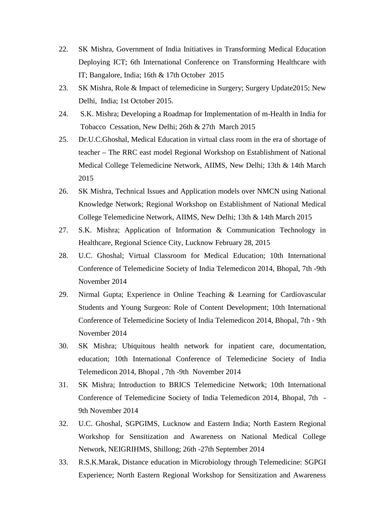- 22. SK Mishra, Government of India Initiatives in Transforming Medical Education Deploying ICT; 6th International Conference on Transforming Healthcare with IT; Bangalore, India; 16th & 17th October 2015
- 23. SK Mishra, Role & Impact of telemedicine in Surgery; Surgery Update2015; New Delhi, India; 1st October 2015.
- 24. S.K. Mishra; Developing a Roadmap for Implementation of m-Health in India for Tobacco Cessation, New Delhi; 26th & 27th March 2015
- 25. Dr.U.C.Ghoshal, Medical Education in virtual class room in the era of shortage of teacher – The RRC east model Regional Workshop on Establishment of National Medical College Telemedicine Network, AIIMS, New Delhi; 13th & 14th March 2015
- 26. SK Mishra, Technical Issues and Application models over NMCN using National Knowledge Network; Regional Workshop on Establishment of National Medical College Telemedicine Network, AIIMS, New Delhi; 13th & 14th March 2015
- 27. S.K. Mishra; Application of Information & Communication Technology in Healthcare, Regional Science City, Lucknow February 28, 2015
- 28. U.C. Ghoshal; Virtual Classroom for Medical Education; 10th International Conference of Telemedicine Society of India Telemedicon 2014, Bhopal, 7th -9th November 2014
- 29. Nirmal Gupta; Experience in Online Teaching & Learning for Cardiovascular Students and Young Surgeon: Role of Content Development; 10th International Conference of Telemedicine Society of India Telemedicon 2014, Bhopal, 7th - 9th November 2014
- 30. SK Mishra; Ubiquitous health network for inpatient care, documentation, education; 10th International Conference of Telemedicine Society of India Telemedicon 2014, Bhopal , 7th -9th November 2014
- 31. SK Mishra; Introduction to BRICS Telemedicine Network; 10th International Conference of Telemedicine Society of India Telemedicon 2014, Bhopal, 7th - 9th November 2014
- 32. U.C. Ghoshal, SGPGIMS, Lucknow and Eastern India; North Eastern Regional Workshop for Sensitization and Awareness on National Medical College Network, NEIGRIHMS, Shillong; 26th -27th September 2014
- 33. R.S.K.Marak, Distance education in Microbiology through Telemedicine: SGPGI Experience; North Eastern Regional Workshop for Sensitization and Awareness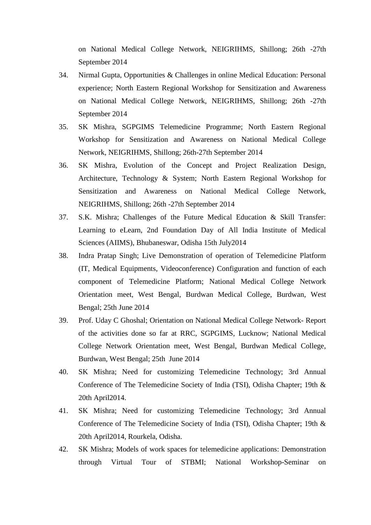on National Medical College Network, NEIGRIHMS, Shillong; 26th -27th September 2014

- 34. Nirmal Gupta, Opportunities & Challenges in online Medical Education: Personal experience; North Eastern Regional Workshop for Sensitization and Awareness on National Medical College Network, NEIGRIHMS, Shillong; 26th -27th September 2014
- 35. SK Mishra, SGPGIMS Telemedicine Programme; North Eastern Regional Workshop for Sensitization and Awareness on National Medical College Network, NEIGRIHMS, Shillong; 26th-27th September 2014
- 36. SK Mishra, Evolution of the Concept and Project Realization Design, Architecture, Technology & System; North Eastern Regional Workshop for Sensitization and Awareness on National Medical College Network, NEIGRIHMS, Shillong; 26th -27th September 2014
- 37. S.K. Mishra; Challenges of the Future Medical Education & Skill Transfer: Learning to eLearn, 2nd Foundation Day of All India Institute of Medical Sciences (AIIMS), Bhubaneswar, Odisha 15th July2014
- 38. Indra Pratap Singh; Live Demonstration of operation of Telemedicine Platform (IT, Medical Equipments, Videoconference) Configuration and function of each component of Telemedicine Platform; National Medical College Network Orientation meet, West Bengal, Burdwan Medical College, Burdwan, West Bengal; 25th June 2014
- 39. Prof. Uday C Ghoshal; Orientation on National Medical College Network- Report of the activities done so far at RRC, SGPGIMS, Lucknow; National Medical College Network Orientation meet, West Bengal, Burdwan Medical College, Burdwan, West Bengal; 25th June 2014
- 40. SK Mishra; Need for customizing Telemedicine Technology; 3rd Annual Conference of The Telemedicine Society of India (TSI), Odisha Chapter; 19th & 20th April2014.
- 41. SK Mishra; Need for customizing Telemedicine Technology; 3rd Annual Conference of The Telemedicine Society of India (TSI), Odisha Chapter; 19th & 20th April2014, Rourkela, Odisha.
- 42. SK Mishra; Models of work spaces for telemedicine applications: Demonstration through Virtual Tour of STBMI; National Workshop-Seminar on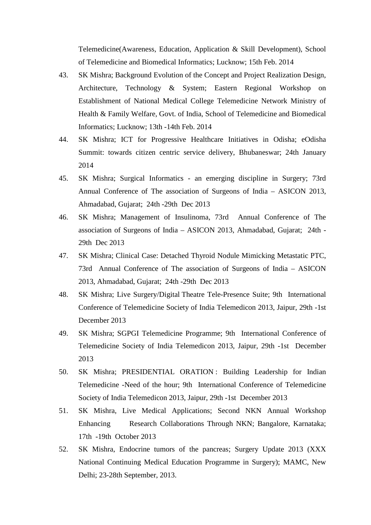Telemedicine(Awareness, Education, Application & Skill Development), School of Telemedicine and Biomedical Informatics; Lucknow; 15th Feb. 2014

- 43. SK Mishra; Background Evolution of the Concept and Project Realization Design, Architecture, Technology & System; Eastern Regional Workshop on Establishment of National Medical College Telemedicine Network Ministry of Health & Family Welfare, Govt. of India, School of Telemedicine and Biomedical Informatics; Lucknow; 13th -14th Feb. 2014
- 44. SK Mishra; ICT for Progressive Healthcare Initiatives in Odisha; eOdisha Summit: towards citizen centric service delivery, Bhubaneswar; 24th January 2014
- 45. SK Mishra; Surgical Informatics an emerging discipline in Surgery; 73rd Annual Conference of The association of Surgeons of India – ASICON 2013, Ahmadabad, Gujarat; 24th -29th Dec 2013
- 46. SK Mishra; Management of Insulinoma, 73rd Annual Conference of The association of Surgeons of India – ASICON 2013, Ahmadabad, Gujarat; 24th - 29th Dec 2013
- 47. SK Mishra; Clinical Case: Detached Thyroid Nodule Mimicking Metastatic PTC, 73rd Annual Conference of The association of Surgeons of India – ASICON 2013, Ahmadabad, Gujarat; 24th -29th Dec 2013
- 48. SK Mishra; Live Surgery/Digital Theatre Tele-Presence Suite; 9th International Conference of Telemedicine Society of India Telemedicon 2013, Jaipur, 29th -1st December 2013
- 49. SK Mishra; [SGPGI Telemedicine Programme;](http://www.telemedicon13.com/Abstracts/f39_SKMishra.pdf) 9th International Conference of Telemedicine Society of India Telemedicon 2013, Jaipur, 29th -1st December 2013
- 50. SK Mishra; PRESIDENTIAL ORATION [: Building Leadership for Indian](http://www.telemedicon13.com/Abstracts/Oration.pdf)  [Telemedicine -Need of the hour;](http://www.telemedicon13.com/Abstracts/Oration.pdf) 9th International Conference of Telemedicine Society of India Telemedicon 2013, Jaipur, 29th -1st December 2013
- 51. SK Mishra, Live Medical Applications; Second NKN Annual Workshop Enhancing Research Collaborations Through NKN; Bangalore, Karnataka; 17th -19th October 2013
- 52. SK Mishra, Endocrine tumors of the pancreas; Surgery Update 2013 (XXX National Continuing Medical Education Programme in Surgery); MAMC, New Delhi; 23-28th September, 2013.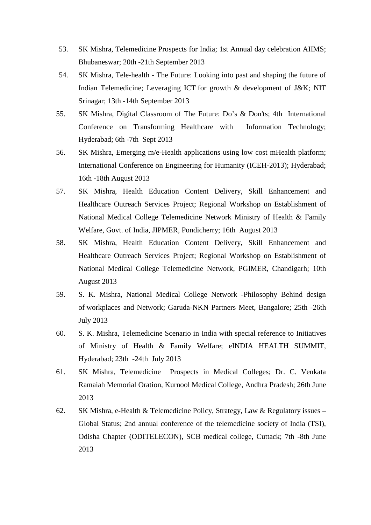- 53. SK Mishra, Telemedicine Prospects for India; 1st Annual day celebration AIIMS; Bhubaneswar; 20th -21th September 2013
- 54. SK Mishra, Tele-health The Future: Looking into past and shaping the future of Indian Telemedicine; Leveraging ICT for growth & development of J&K; NIT Srinagar; 13th -14th September 2013
- 55. SK Mishra, Digital Classroom of The Future: Do's & Don'ts; 4th International Conference on Transforming Healthcare with Information Technology; Hyderabad; 6th -7th Sept 2013
- 56. SK Mishra, Emerging m/e-Health applications using low cost mHealth platform; International Conference on Engineering for Humanity (ICEH-2013); Hyderabad; 16th -18th August 2013
- 57. SK Mishra, Health Education Content Delivery, Skill Enhancement and Healthcare Outreach Services Project; Regional Workshop on Establishment of National Medical College Telemedicine Network Ministry of Health & Family Welfare, Govt. of India, JIPMER, Pondicherry; 16th August 2013
- 58. SK Mishra, Health Education Content Delivery, Skill Enhancement and Healthcare Outreach Services Project; Regional Workshop on Establishment of National Medical College Telemedicine Network, PGIMER, Chandigarh; 10th August 2013
- 59. S. K. Mishra, National Medical College Network -Philosophy Behind design of workplaces and Network; Garuda-NKN Partners Meet, Bangalore; 25th -26th July 2013
- 60. S. K. Mishra, Telemedicine Scenario in India with special reference to Initiatives of Ministry of Health & Family Welfare; eINDIA HEALTH SUMMIT, Hyderabad; 23th -24th July 2013
- 61. SK Mishra, Telemedicine Prospects in Medical Colleges; Dr. C. Venkata Ramaiah Memorial Oration, Kurnool Medical College, Andhra Pradesh; 26th June 2013
- 62. SK Mishra, e-Health & Telemedicine Policy, Strategy, Law & Regulatory issues Global Status; 2nd annual conference of the telemedicine society of India (TSI), Odisha Chapter (ODITELECON), SCB medical college, Cuttack; 7th -8th June 2013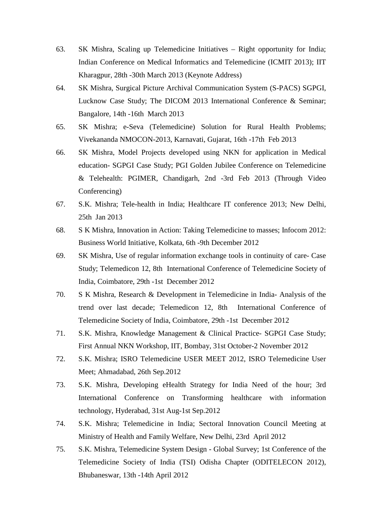- 63. SK Mishra, Scaling up Telemedicine Initiatives Right opportunity for India; Indian Conference on Medical Informatics and Telemedicine (ICMIT 2013); IIT Kharagpur, 28th -30th March 2013 (Keynote Address)
- 64. SK Mishra, Surgical Picture Archival Communication System (S-PACS) SGPGI, Lucknow Case Study; The DICOM 2013 International Conference & Seminar; Bangalore, 14th -16th March 2013
- 65. SK Mishra; e-Seva (Telemedicine) Solution for Rural Health Problems; Vivekananda NMOCON-2013, Karnavati, Gujarat, 16th -17th Feb 2013
- 66. SK Mishra, Model Projects developed using NKN for application in Medical education- SGPGI Case Study; PGI Golden Jubilee Conference on Telemedicine & Telehealth: PGIMER, Chandigarh, 2nd -3rd Feb 2013 (Through Video Conferencing)
- 67. S.K. Mishra; Tele-health in India; Healthcare IT conference 2013; New Delhi, 25th Jan 2013
- 68. S K Mishra, Innovation in Action: Taking Telemedicine to masses; Infocom 2012: Business World Initiative, Kolkata, 6th -9th December 2012
- 69. SK Mishra, Use of regular information exchange tools in continuity of care- Case Study; Telemedicon 12, 8th International Conference of Telemedicine Society of India, Coimbatore, 29th -1st December 2012
- 70. S K Mishra, Research & Development in Telemedicine in India- Analysis of the trend over last decade; Telemedicon 12, 8th International Conference of Telemedicine Society of India, Coimbatore, 29th -1st December 2012
- 71. S.K. Mishra, Knowledge Management & Clinical Practice- SGPGI Case Study; First Annual NKN Workshop, IIT, Bombay, 31st October-2 November 2012
- 72. S.K. Mishra; ISRO Telemedicine USER MEET 2012, ISRO Telemedicine User Meet; Ahmadabad, 26th Sep.2012
- 73. S.K. Mishra, Developing eHealth Strategy for India Need of the hour; 3rd International Conference on Transforming healthcare with information technology, Hyderabad, 31st Aug-1st Sep.2012
- 74. S.K. Mishra; Telemedicine in India; Sectoral Innovation Council Meeting at Ministry of Health and Family Welfare, New Delhi, 23rd April 2012
- 75. S.K. Mishra, Telemedicine System Design Global Survey; 1st Conference of the Telemedicine Society of India (TSI) Odisha Chapter (ODITELECON 2012), Bhubaneswar, 13th -14th April 2012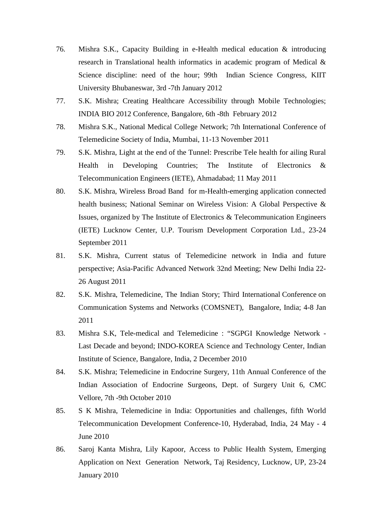- 76. Mishra S.K., Capacity Building in e-Health medical education & introducing research in Translational health informatics in academic program of Medical & Science discipline: need of the hour; 99th Indian Science Congress, KIIT University Bhubaneswar, 3rd -7th January 2012
- 77. S.K. Mishra; Creating Healthcare Accessibility through Mobile Technologies; INDIA BIO 2012 Conference, Bangalore, 6th -8th February 2012
- 78. Mishra S.K., National Medical College Network; 7th International Conference of Telemedicine Society of India, Mumbai, 11-13 November 2011
- 79. S.K. Mishra, Light at the end of the Tunnel: Prescribe Tele health for ailing Rural Health in Developing Countries; The Institute of Electronics & Telecommunication Engineers (IETE), Ahmadabad; 11 May 2011
- 80. S.K. Mishra, Wireless Broad Band for m-Health-emerging application connected health business; National Seminar on Wireless Vision: A Global Perspective & Issues, organized by The Institute of Electronics & Telecommunication Engineers (IETE) Lucknow Center, U.P. Tourism Development Corporation Ltd., 23-24 September 2011
- 81. S.K. Mishra, Current status of Telemedicine network in India and future perspective; Asia-Pacific Advanced Network 32nd Meeting; New Delhi India 22- 26 August 2011
- 82. S.K. Mishra, Telemedicine, The Indian Story; Third International Conference on Communication Systems and Networks (COMSNET), Bangalore, India; 4-8 Jan 2011
- 83. Mishra S.K, Tele-medical and Telemedicine : "SGPGI Knowledge Network Last Decade and beyond; INDO-KOREA Science and Technology Center, Indian Institute of Science, Bangalore, India, 2 December 2010
- 84. S.K. Mishra; Telemedicine in Endocrine Surgery, 11th Annual Conference of the Indian Association of Endocrine Surgeons, Dept. of Surgery Unit 6, CMC Vellore, 7th -9th October 2010
- 85. S K Mishra, Telemedicine in India: Opportunities and challenges, fifth World Telecommunication Development Conference-10, Hyderabad, India, 24 May - 4 June 2010
- 86. Saroj Kanta Mishra, Lily Kapoor, Access to Public Health System, Emerging Application on Next Generation Network, Taj Residency, Lucknow, UP, 23-24 January 2010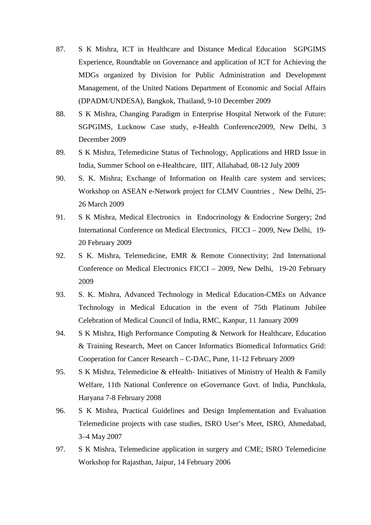- 87. S K Mishra, ICT in Healthcare and Distance Medical Education SGPGIMS Experience, Roundtable on Governance and application of ICT for Achieving the MDGs organized by Division for Public Administration and Development Management, of the United Nations Department of Economic and Social Affairs (DPADM/UNDESA), Bangkok, Thailand, 9-10 December 2009
- 88. S K Mishra, Changing Paradigm in Enterprise Hospital Network of the Future: SGPGIMS, Lucknow Case study, e-Health Conference2009, New Delhi, 3 December 2009
- 89. S K Mishra, Telemedicine Status of Technology, Applications and HRD Issue in India, Summer School on e-Healthcare, IIIT, Allahabad, 08-12 July 2009
- 90. S. K. Mishra; Exchange of Information on Health care system and services; Workshop on ASEAN e-Network project for CLMV Countries , New Delhi, 25- 26 March 2009
- 91. S K Mishra, Medical Electronics in Endocrinology & Endocrine Surgery; 2nd International Conference on Medical Electronics, FICCI – 2009, New Delhi, 19- 20 February 2009
- 92. S K. Mishra, Telemedicine, EMR & Remote Connectivity; 2nd International Conference on Medical Electronics FICCI – 2009, New Delhi, 19-20 February 2009
- 93. S. K. Mishra, Advanced Technology in Medical Education-CMEs on Advance Technology in Medical Education in the event of 75th Platinum Jubilee Celebration of Medical Council of India, RMC, Kanpur, 11 January 2009
- 94. S K Mishra, High Performance Computing & Network for Healthcare, Education & Training Research, Meet on Cancer Informatics Biomedical Informatics Grid: Cooperation for Cancer Research – C-DAC, Pune, 11-12 February 2009
- 95. S K Mishra, Telemedicine & eHealth- Initiatives of Ministry of Health & Family Welfare, 11th National Conference on eGovernance Govt. of India, Punchkula, Haryana 7-8 February 2008
- 96. S K Mishra, Practical Guidelines and Design Implementation and Evaluation Telemedicine projects with case studies, ISRO User's Meet, ISRO, Ahmedabad, 3–4 May 2007
- 97. S K Mishra, Telemedicine application in surgery and CME; ISRO Telemedicine Workshop for Rajasthan, Jaipur, 14 February 2006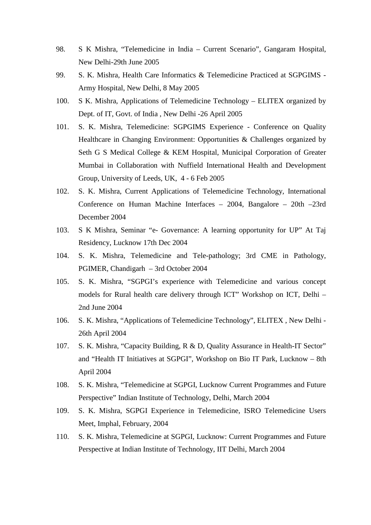- 98. S K Mishra, "Telemedicine in India Current Scenario", Gangaram Hospital, New Delhi-29th June 2005
- 99. S. K. Mishra, Health Care Informatics & Telemedicine Practiced at SGPGIMS Army Hospital, New Delhi, 8 May 2005
- 100. S K. Mishra, Applications of Telemedicine Technology ELITEX organized by Dept. of IT, Govt. of India , New Delhi -26 April 2005
- 101. S. K. Mishra, Telemedicine: SGPGIMS Experience Conference on Quality Healthcare in Changing Environment: Opportunities & Challenges organized by Seth G S Medical College & KEM Hospital, Municipal Corporation of Greater Mumbai in Collaboration with Nuffield International Health and Development Group, University of Leeds, UK, 4 - 6 Feb 2005
- 102. S. K. Mishra, Current Applications of Telemedicine Technology, International Conference on Human Machine Interfaces – 2004, Bangalore – 20th –23rd December 2004
- 103. S K Mishra, Seminar "e- Governance: A learning opportunity for UP" At Taj Residency, Lucknow 17th Dec 2004
- 104. S. K. Mishra, Telemedicine and Tele-pathology; 3rd CME in Pathology, PGIMER, Chandigarh – 3rd October 2004
- 105. S. K. Mishra, "SGPGI's experience with Telemedicine and various concept models for Rural health care delivery through ICT" Workshop on ICT, Delhi – 2nd June 2004
- 106. S. K. Mishra, "Applications of Telemedicine Technology", ELITEX , New Delhi 26th April 2004
- 107. S. K. Mishra, "Capacity Building, R & D, Quality Assurance in Health-IT Sector" and "Health IT Initiatives at SGPGI", Workshop on Bio IT Park, Lucknow – 8th April 2004
- 108. S. K. Mishra, "Telemedicine at SGPGI, Lucknow Current Programmes and Future Perspective" Indian Institute of Technology, Delhi, March 2004
- 109. S. K. Mishra, SGPGI Experience in Telemedicine, ISRO Telemedicine Users Meet, Imphal, February, 2004
- 110. S. K. Mishra, Telemedicine at SGPGI, Lucknow: Current Programmes and Future Perspective at Indian Institute of Technology, IIT Delhi, March 2004